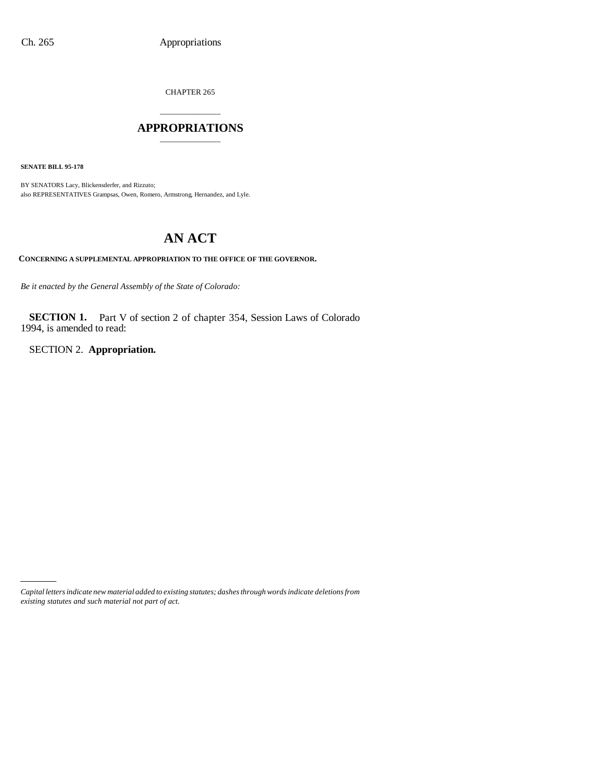CHAPTER 265

# \_\_\_\_\_\_\_\_\_\_\_\_\_\_\_ **APPROPRIATIONS** \_\_\_\_\_\_\_\_\_\_\_\_\_\_\_

**SENATE BILL 95-178**

BY SENATORS Lacy, Blickensderfer, and Rizzuto; also REPRESENTATIVES Grampsas, Owen, Romero, Armstrong, Hernandez, and Lyle.

# **AN ACT**

**CONCERNING A SUPPLEMENTAL APPROPRIATION TO THE OFFICE OF THE GOVERNOR.**

*Be it enacted by the General Assembly of the State of Colorado:*

**SECTION 1.** Part V of section 2 of chapter 354, Session Laws of Colorado 1994, is amended to read:

SECTION 2. **Appropriation.**

*Capital letters indicate new material added to existing statutes; dashes through words indicate deletions from existing statutes and such material not part of act.*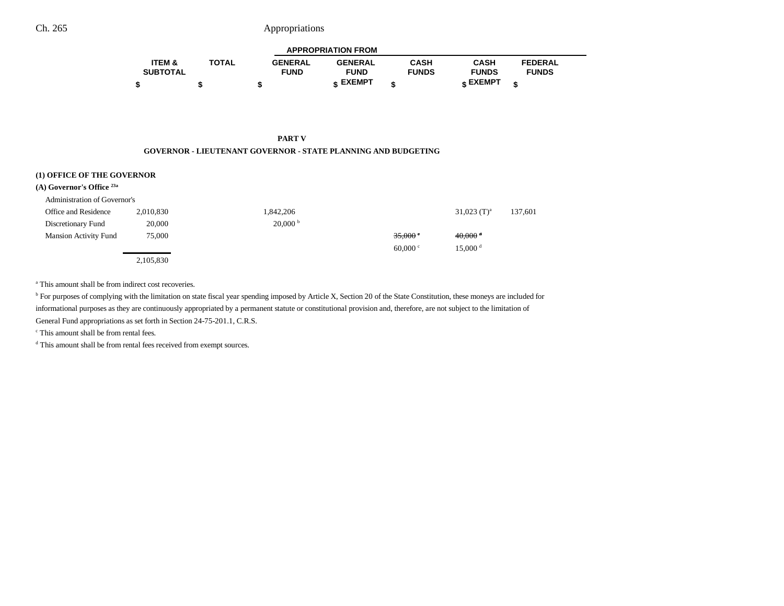### Ch. 265 Appropriations

| <b>APPROPRIATION FROM</b> |              |                |                 |              |              |                |  |  |  |
|---------------------------|--------------|----------------|-----------------|--------------|--------------|----------------|--|--|--|
| <b>ITEM &amp;</b>         | <b>TOTAL</b> | <b>GENERAL</b> | <b>GENERAL</b>  | <b>CASH</b>  | <b>CASH</b>  | <b>FEDERAL</b> |  |  |  |
| <b>SUBTOTAL</b>           |              | <b>FUND</b>    | <b>FUND</b>     | <b>FUNDS</b> | <b>FUNDS</b> | <b>FUNDS</b>   |  |  |  |
|                           |              |                | <b>« EXEMPT</b> |              | е EXEMPT     |                |  |  |  |

-

#### **PART V GOVERNOR - LIEUTENANT GOVERNOR - STATE PLANNING AND BUDGETING**

| (1) OFFICE OF THE GOVERNOR<br>(A) Governor's Office <sup>23a</sup> |           |                       |                  |                       |         |
|--------------------------------------------------------------------|-----------|-----------------------|------------------|-----------------------|---------|
| Administration of Governor's                                       |           |                       |                  |                       |         |
| Office and Residence                                               | 2,010,830 | 1,842,206             |                  | 31,023 $(T)^a$        | 137,601 |
| Discretionary Fund                                                 | 20,000    | $20,000^{\mathrm{b}}$ |                  |                       |         |
| <b>Mansion Activity Fund</b>                                       | 75,000    |                       | 35,000           | $40,000$ <sup>d</sup> |         |
|                                                                    |           |                       | 60,000 $\degree$ | $15,000$ <sup>d</sup> |         |
|                                                                    | 2,105,830 |                       |                  |                       |         |

<sup>a</sup> This amount shall be from indirect cost recoveries.

<sup>b</sup> For purposes of complying with the limitation on state fiscal year spending imposed by Article X, Section 20 of the State Constitution, these moneys are included for informational purposes as they are continuously appropriated by a permanent statute or constitutional provision and, therefore, are not subject to the limitation of General Fund appropriations as set forth in Section 24-75-201.1, C.R.S.

c This amount shall be from rental fees.

d This amount shall be from rental fees received from exempt sources.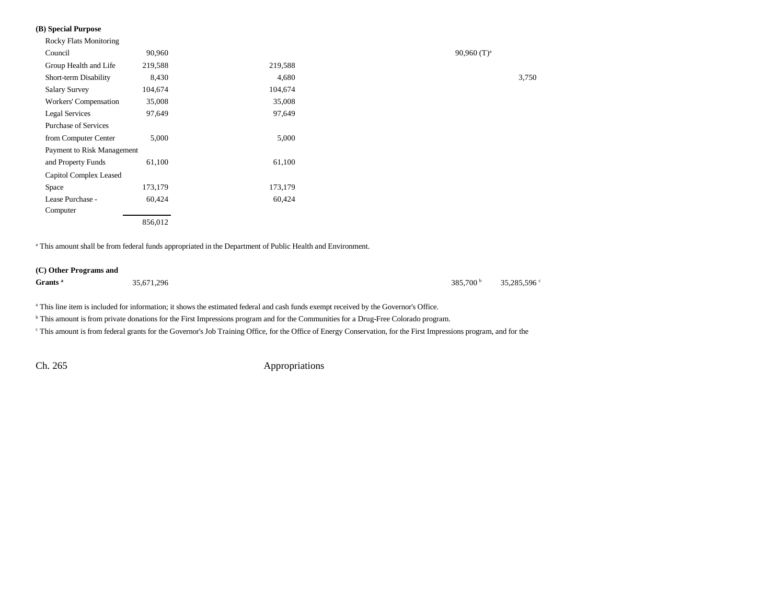### **(B) Special Purpose**

| <b>Rocky Flats Monitoring</b> |         |         |                |
|-------------------------------|---------|---------|----------------|
| Council                       | 90,960  |         | 90,960 $(T)^a$ |
| Group Health and Life         | 219,588 | 219,588 |                |
| Short-term Disability         | 8,430   | 4,680   |                |
| <b>Salary Survey</b>          | 104,674 | 104,674 |                |
| Workers' Compensation         | 35,008  | 35,008  |                |
| Legal Services                | 97,649  | 97,649  |                |
| <b>Purchase of Services</b>   |         |         |                |
| from Computer Center          | 5,000   | 5,000   |                |
| Payment to Risk Management    |         |         |                |
| and Property Funds            | 61,100  | 61,100  |                |
| Capitol Complex Leased        |         |         |                |
| Space                         | 173,179 | 173,179 |                |
| Lease Purchase -              | 60,424  | 60,424  |                |
| Computer                      |         |         |                |
|                               | 856,012 |         |                |
|                               |         |         |                |

a This amount shall be from federal funds appropriated in the Department of Public Health and Environment.

#### **(C) Other Programs and**

**Grants a** 35,671,296 385,700 b 35,285,596 c

<sup>a</sup> This line item is included for information; it shows the estimated federal and cash funds exempt received by the Governor's Office.

<sup>b</sup> This amount is from private donations for the First Impressions program and for the Communities for a Drug-Free Colorado program.

<sup>c</sup> This amount is from federal grants for the Governor's Job Training Office, for the Office of Energy Conservation, for the First Impressions program, and for the

Ch. 265 Appropriations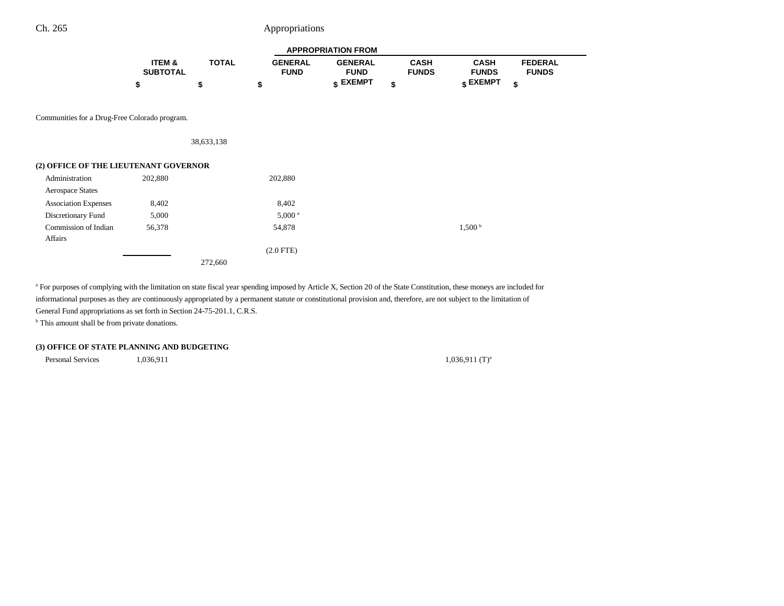# Ch. 265 Appropriations

|                                               | <b>APPROPRIATION FROM</b> |              |                               |                               |                             |                                  |                                |
|-----------------------------------------------|---------------------------|--------------|-------------------------------|-------------------------------|-----------------------------|----------------------------------|--------------------------------|
|                                               | ITEM &<br><b>SUBTOTAL</b> | <b>TOTAL</b> | <b>GENERAL</b><br><b>FUND</b> | <b>GENERAL</b><br><b>FUND</b> | <b>CASH</b><br><b>FUNDS</b> | <b>CASH</b><br><b>FUNDS</b>      | <b>FEDERAL</b><br><b>FUNDS</b> |
|                                               | \$                        | \$           | \$                            | $S$ EXEMPT                    | \$                          | $\boldsymbol{\mathsf{s}}$ EXEMPT | \$                             |
|                                               |                           |              |                               |                               |                             |                                  |                                |
| Communities for a Drug-Free Colorado program. |                           |              |                               |                               |                             |                                  |                                |
|                                               |                           | 38,633,138   |                               |                               |                             |                                  |                                |
| (2) OFFICE OF THE LIEUTENANT GOVERNOR         |                           |              |                               |                               |                             |                                  |                                |
| Administration                                | 202,880                   |              | 202,880                       |                               |                             |                                  |                                |
| <b>Aerospace States</b>                       |                           |              |                               |                               |                             |                                  |                                |
| <b>Association Expenses</b>                   | 8,402                     |              | 8,402                         |                               |                             |                                  |                                |
| Discretionary Fund                            | 5,000                     |              | 5,000 <sup>a</sup>            |                               |                             |                                  |                                |
| Commission of Indian<br>Affairs               | 56,378                    |              | 54,878                        |                               |                             | 1,500 <sup>b</sup>               |                                |
|                                               |                           |              | $(2.0$ FTE)                   |                               |                             |                                  |                                |

272,660

<sup>a</sup> For purposes of complying with the limitation on state fiscal year spending imposed by Article X, Section 20 of the State Constitution, these moneys are included for informational purposes as they are continuously appropriated by a permanent statute or constitutional provision and, therefore, are not subject to the limitation of General Fund appropriations as set forth in Section 24-75-201.1, C.R.S.

<sup>b</sup> This amount shall be from private donations.

#### **(3) OFFICE OF STATE PLANNING AND BUDGETING**

Personal Services 1,036,911 1,036,911 1,036,911 1,036,911  $(1)^a$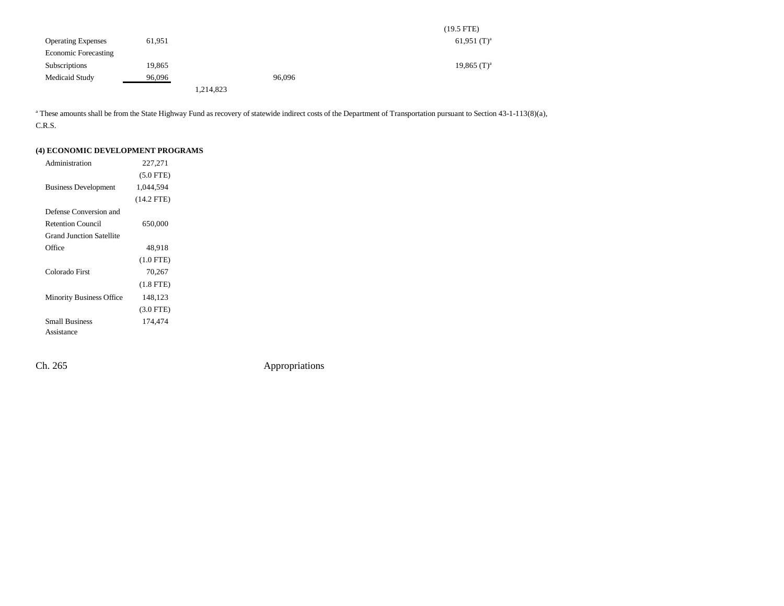|                             |        |           |        | $(19.5$ FTE)              |
|-----------------------------|--------|-----------|--------|---------------------------|
| <b>Operating Expenses</b>   | 61,951 |           |        | 61,951 $(T)^a$            |
| <b>Economic Forecasting</b> |        |           |        |                           |
| Subscriptions               | 19,865 |           |        | $19,865$ (T) <sup>a</sup> |
| Medicaid Study              | 96,096 |           | 96,096 |                           |
|                             |        | 1,214,823 |        |                           |

<sup>a</sup> These amounts shall be from the State Highway Fund as recovery of statewide indirect costs of the Department of Transportation pursuant to Section 43-1-113(8)(a), C.R.S.

### **(4) ECONOMIC DEVELOPMENT PROGRAMS**

| Administration                  | 227,271      |  |
|---------------------------------|--------------|--|
|                                 | $(5.0$ FTE)  |  |
| <b>Business Development</b>     | 1,044,594    |  |
|                                 | $(14.2$ FTE) |  |
| Defense Conversion and          |              |  |
| <b>Retention Council</b>        | 650,000      |  |
| <b>Grand Junction Satellite</b> |              |  |
| Office                          | 48,918       |  |
|                                 | $(1.0$ FTE)  |  |
| Colorado First                  | 70,267       |  |
|                                 | $(1.8$ FTE)  |  |
| <b>Minority Business Office</b> | 148,123      |  |
|                                 | $(3.0$ FTE)  |  |
| <b>Small Business</b>           | 174,474      |  |
| Assistance                      |              |  |

Ch. 265 Appropriations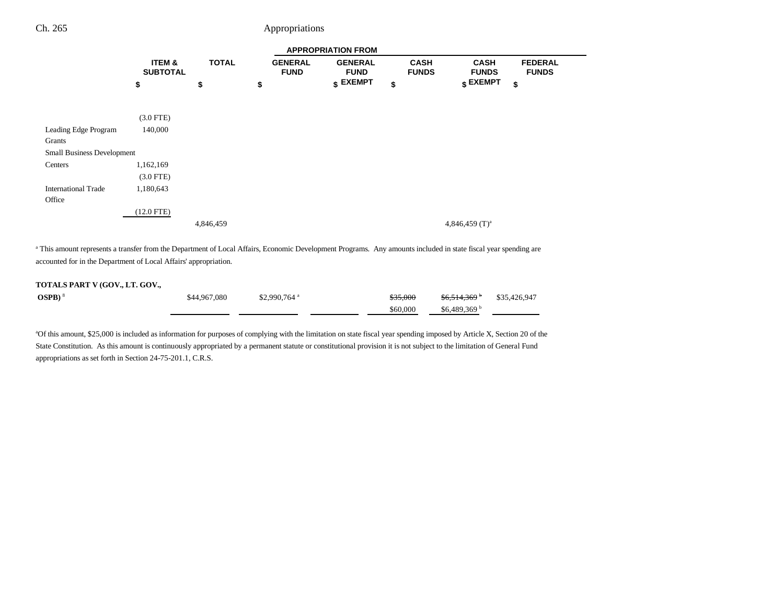# Ch. 265 Appropriations

|                                      |                           |              |                               | <b>APPROPRIATION FROM</b>     |                             |                             |                                |
|--------------------------------------|---------------------------|--------------|-------------------------------|-------------------------------|-----------------------------|-----------------------------|--------------------------------|
|                                      | ITEM &<br><b>SUBTOTAL</b> | <b>TOTAL</b> | <b>GENERAL</b><br><b>FUND</b> | <b>GENERAL</b><br><b>FUND</b> | <b>CASH</b><br><b>FUNDS</b> | <b>CASH</b><br><b>FUNDS</b> | <b>FEDERAL</b><br><b>FUNDS</b> |
|                                      | \$                        | \$           | \$                            | $$$ EXEMPT                    | \$                          | $$\mathsf{EXEMPT}$$<br>\$   |                                |
|                                      | $(3.0$ FTE)               |              |                               |                               |                             |                             |                                |
| Leading Edge Program<br>Grants       | 140,000                   |              |                               |                               |                             |                             |                                |
| <b>Small Business Development</b>    |                           |              |                               |                               |                             |                             |                                |
| Centers                              | 1,162,169                 |              |                               |                               |                             |                             |                                |
|                                      | $(3.0$ FTE)               |              |                               |                               |                             |                             |                                |
| <b>International Trade</b><br>Office | 1,180,643                 |              |                               |                               |                             |                             |                                |
|                                      | $(12.0$ FTE)              |              |                               |                               |                             |                             |                                |
|                                      |                           | 4,846,459    |                               |                               |                             | 4,846,459 $(T)^a$           |                                |

<sup>a</sup> This amount represents a transfer from the Department of Local Affairs, Economic Development Programs. Any amounts included in state fiscal year spending are accounted for in the Department of Local Affairs' appropriation.

#### **TOTALS PART V (GOV., LT. GOV.,**

| $OSPB$ ) $8$ | \$44,967,080 | $$2,990,764$ <sup>a</sup> | <del>\$35,000</del> | \$6,514,369 b | \$35,426,947 |
|--------------|--------------|---------------------------|---------------------|---------------|--------------|
|              |              |                           | \$60,000            | \$6.489.369   |              |

<sup>a</sup>Of this amount, \$25,000 is included as information for purposes of complying with the limitation on state fiscal year spending imposed by Article X, Section 20 of the State Constitution. As this amount is continuously appropriated by a permanent statute or constitutional provision it is not subject to the limitation of General Fund appropriations as set forth in Section 24-75-201.1, C.R.S.